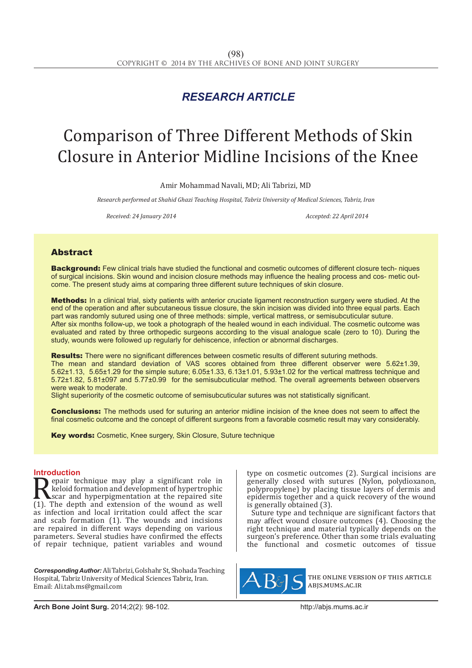# *RESEARCH ARTICLE*

# Comparison of Three Different Methods of Skin Closure in Anterior Midline Incisions of the Knee

Amir Mohammad Navali, MD; Ali Tabrizi, MD

*Research performed at Shahid Ghazi Teaching Hospital, Tabriz University of Medical Sciences, Tabriz, Iran*

*Received: 24 January 2014 Accepted: 22 April 2014*

# Abstract

Background: Few clinical trials have studied the functional and cosmetic outcomes of different closure tech- niques of surgical incisions. Skin wound and incision closure methods may influence the healing process and cos- metic outcome. The present study aims at comparing three different suture techniques of skin closure.

Methods: In a clinical trial, sixty patients with anterior cruciate ligament reconstruction surgery were studied. At the end of the operation and after subcutaneous tissue closure, the skin incision was divided into three equal parts. Each part was randomly sutured using one of three methods: simple, vertical mattress, or semisubcuticular suture. After six months follow-up, we took a photograph of the healed wound in each individual. The cosmetic outcome was evaluated and rated by three orthopedic surgeons according to the visual analogue scale (zero to 10). During the study, wounds were followed up regularly for dehiscence, infection or abnormal discharges.

**Results:** There were no significant differences between cosmetic results of different suturing methods. The mean and standard deviation of VAS scores obtained from three different observer were 5.62±1.39, 5.62±1.13, 5.65±1.29 for the simple suture; 6.05±1.33, 6.13±1.01, 5.93±1.02 for the vertical mattress technique and 5.72±1.82, 5.81±097 and 5.77±0.99 for the semisubcuticular method. The overall agreements between observers were weak to moderate.

Slight superiority of the cosmetic outcome of semisubcuticular sutures was not statistically significant.

**Conclusions:** The methods used for suturing an anterior midline incision of the knee does not seem to affect the final cosmetic outcome and the concept of different surgeons from a favorable cosmetic result may vary considerably.

**Key words:** Cosmetic, Knee surgery, Skin Closure, Suture technique

## **Introduction**

Repair technique may play a significant role in<br>keloid formation and development of hypertrophic<br>(1). The depth and extension of the wound as well<br>as infection and local irritation could affect the scar epair technique may play a significant role in keloid formation and development of hypertrophic scar and hyperpigmentation at the repaired site (1). The depth and extension of the wound as well as infection and local irritation could affect the scar and scab formation (1). The wounds and incisions are repaired in different ways depending on various parameters. Several studies have confirmed the effects of repair technique, patient variables and wound

*Corresponding Author:*Ali Tabrizi, Golshahr St, Shohada Teaching Hospital, Tabriz University of Medical Sciences Tabriz, Iran. Email: Ali.tab.ms@gmail.com

type on cosmetic outcomes (2). Surgical incisions are generally closed with sutures (Nylon, polydioxanon, polypropylene) by placing tissue layers of dermis and epidermis together and a quick recovery of the wound is generally obtained (3).

Suture type and technique are significant factors that may affect wound closure outcomes (4). Choosing the right technique and material typically depends on the surgeon's preference. Other than some trials evaluating the functional and cosmetic outcomes of tissue



the online version of this article abjs.mums.ac.ir

**Arch Bone Joint Surg.** 2014;2(2): 98-102.http://abjs.mums.ac.ir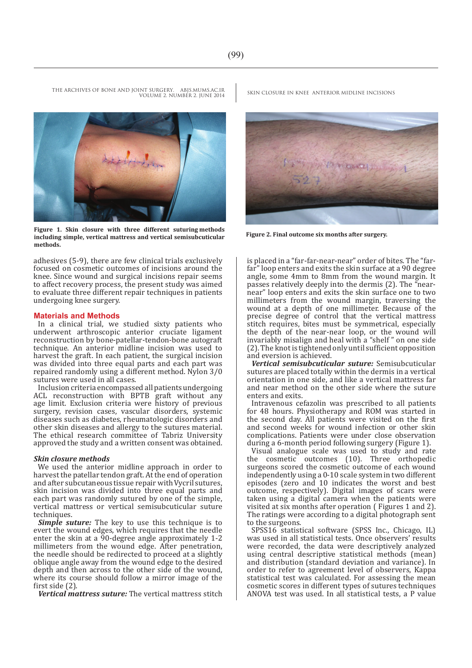VOLUME 2. NUMBER 2. JUNE 2014



**Figure 1. Skin closure with three different suturing methods including simple, vertical mattress and vertical semisubcuticular methods.**

adhesives (5-9), there are few clinical trials exclusively focused on cosmetic outcomes of incisions around the knee. Since wound and surgical incisions repair seems to affect recovery process, the present study was aimed to evaluate three different repair techniques in patients undergoing knee surgery.

#### **Materials and Methods**

In a clinical trial, we studied sixty patients who underwent arthroscopic anterior cruciate ligament reconstruction by bone-patellar-tendon-bone autograft technique. An anterior midline incision was used to harvest the graft. In each patient, the surgical incision was divided into three equal parts and each part was repaired randomly using a different method. Nylon 3/0 sutures were used in all cases.

Inclusion criteria encompassed all patients undergoing ACL reconstruction with BPTB graft without any age limit. Exclusion criteria were history of previous surgery, revision cases, vascular disorders, systemic diseases such as diabetes, rheumatologic disorders and other skin diseases and allergy to the sutures material. The ethical research committee of Tabriz University approved the study and a written consent was obtained.

#### *Skin closure methods*

We used the anterior midline approach in order to harvest the patellar tendon graft. At the end of operation and after subcutaneous tissue repair with Vycril sutures, skin incision was divided into three equal parts and each part was randomly sutured by one of the simple, vertical mattress or vertical semisubcuticular suture techniques.

*Simple suture:* The key to use this technique is to evert the wound edges, which requires that the needle enter the skin at a 90-degree angle approximately 1-2 millimeters from the wound edge. After penetration, the needle should be redirected to proceed at a slightly oblique angle away from the wound edge to the desired depth and then across to the other side of the wound, where its course should follow a mirror image of the first side (2).

*Vertical mattress suture:* The vertical mattress stitch

THE ARCHIVES OF BONE AND JOINT SURGERY. ABJS.MUMS.AC.IR SKIN CLOSURE IN KNEE ANTERIOR MIDLINE INCISIONS



**Figure 2. Final outcome six months after surgery.**

is placed in a "far-far-near-near" order of bites. The "farfar" loop enters and exits the skin surface at a 90 degree angle, some 4mm to 8mm from the wound margin. It passes relatively deeply into the dermis (2). The "nearnear" loop enters and exits the skin surface one to two millimeters from the wound margin, traversing the wound at a depth of one millimeter. Because of the precise degree of control that the vertical mattress stitch requires, bites must be symmetrical, especially the depth of the near-near loop, or the wound will invariably misalign and heal with a "shelf " on one side (2). The knot is tightened only until sufficient opposition and eversion is achieved.

*Vertical semisubcuticular suture:* Semisubcuticular sutures are placed totally within the dermis in a vertical orientation in one side, and like a vertical mattress far and near method on the other side where the suture enters and exits.

Intravenous cefazolin was prescribed to all patients for 48 hours. Physiotherapy and ROM was started in the second day. All patients were visited on the first and second weeks for wound infection or other skin complications. Patients were under close observation during a 6-month period following surgery (Figure 1).

Visual analogue scale was used to study and rate the cosmetic outcomes (10). Three orthopedic surgeons scored the cosmetic outcome of each wound independently using a 0-10 scale system in two different episodes (zero and 10 indicates the worst and best outcome, respectively). Digital images of scars were taken using a digital camera when the patients were visited at six months after operation ( Figures 1 and 2). The ratings were according to a digital photograph sent to the surgeons.

SPSS16 statistical software (SPSS Inc., Chicago, IL) was used in all statistical tests. Once observers' results were recorded, the data were descriptively analyzed using central descriptive statistical methods (mean) and distribution (standard deviation and variance). In order to refer to agreement level of observers, Kappa statistical test was calculated. For assessing the mean cosmetic scores in different types of sutures techniques ANOVA test was used. In all statistical tests, a P value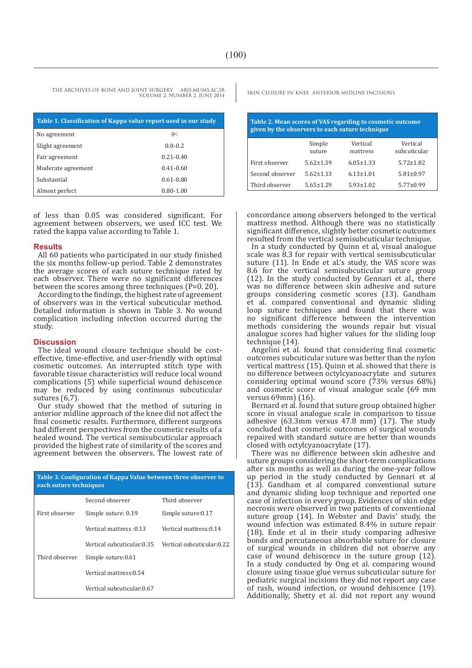THE ARCHIVES OF BONE AND JOINT SURGERY. ABJS.MUMS.AC.IR SKIN CLOSURE IN KNEE ANTERIOR MIDLINE INCISIONS VOLUME 2. NUMBER 2. JUNE 2014

| Table 1. Classification of Kappa value report used in our study |               |  |  |
|-----------------------------------------------------------------|---------------|--|--|
| No agreement                                                    | 0<            |  |  |
| Slight agreement                                                | $0.0 - 0.2$   |  |  |
| Fair agreement                                                  | $0.21 - 0.40$ |  |  |
| Moderate agreement                                              | $0.41 - 0.60$ |  |  |
| Substantial                                                     | $0.61 - 0.80$ |  |  |
| Almost perfect                                                  | $0.80 - 1.00$ |  |  |

of less than 0.05 was considered significant. For agreement between observers, we used ICC test. We rated the kappa value according to Table 1.

#### **Results**

All 60 patients who participated in our study finished the six months follow-up period. Table 2 demonstrates the average scores of each suture technique rated by each observer. There were no significant differences between the scores among three techniques (P=0. 20).

According to the findings, the highest rate of agreement of observers was in the vertical subcuticular method. Detailed information is shown in Table 3. No wound complication including infection occurred during the study.

#### **Discussion**

The ideal wound closure technique should be costeffective, time-effective, and user-friendly with optimal cosmetic outcomes. An interrupted stitch type with favorable tissue characteristics will reduce local wound complications (5) while superficial wound dehiscence may be reduced by using continuous subcuticular sutures (6,7).

Our study showed that the method of suturing in anterior midline approach of the knee did not affect the final cosmetic results. Furthermore, different surgeons had different perspectives from the cosmetic results of a healed wound. The vertical semisubcuticular approach provided the highest rate of similarity of the scores and agreement between the observers. The lowest rate of

| Table 3. Configuration of Kappa Value between three observer to<br>each suture techniques |                             |                            |  |  |  |
|-------------------------------------------------------------------------------------------|-----------------------------|----------------------------|--|--|--|
|                                                                                           | Second observer             | Third observer             |  |  |  |
| First observer                                                                            | Simple suture: 0.19         | Simple suture:0.17         |  |  |  |
|                                                                                           | 13. Vertical mattress       | Vertical mattress: 0.14    |  |  |  |
|                                                                                           | Vertical subcuticular:0.35- | Vertical subcuticular:0.22 |  |  |  |
| Third observer                                                                            | Simple suture: 0.61         |                            |  |  |  |
|                                                                                           | Vertical mattress:0.54      |                            |  |  |  |
|                                                                                           | Vertical subcuticular:0.67  |                            |  |  |  |

| Table 2. Mean scores of VAS regarding to cosmetic outcome<br>given by the observers to each suture technique |                  |                      |                          |  |  |
|--------------------------------------------------------------------------------------------------------------|------------------|----------------------|--------------------------|--|--|
|                                                                                                              | Simple<br>suture | Vertical<br>mattress | Vertical<br>subcuticular |  |  |
| First observer                                                                                               | $5.62 \pm 1.39$  | $6.05 \pm 1.33$      | $5.72 \pm 1.82$          |  |  |
| Second observer                                                                                              | $5.62 \pm 1.13$  | $6.13 \pm 1.01$      | $5.81 \pm 0.97$          |  |  |
| Third observer                                                                                               | $5.65 \pm 1.29$  | $5.93 \pm 1.02$      | $5.77 \pm 0.99$          |  |  |

concordance among observers belonged to the vertical mattress method. Although there was no statistically significant difference, slightly better cosmetic outcomes resulted from the vertical semisubcuticular technique.

In a study conducted by Quinn et al, visual analogue scale was 8.3 for repair with vertical semisubcuticular suture (11). In Ende et al.'s study, the VAS score was 8.6 for the vertical semisubcuticular suture group (12). In the study conducted by Gennari et al., there was no difference between skin adhesive and suture groups considering cosmetic scores (13). Gandham et al. compared conventional and dynamic sliding loop suture techniques and found that there was no significant difference between the intervention methods considering the wounds repair but visual analogue scores had higher values for the sliding loop technique (14).

Angelini et al. found that considering final cosmetic outcomes subcuticular suture was better than the nylon vertical mattress (15). Quinn et al. showed that there is no difference between octylcyanoacrylate and sutures considering optimal wound score (73% versus 68%) and cosmetic score of visual analogue scale (69 mm versus 69mm) (16).

Bernard et al. found that suture group obtained higher score in visual analogue scale in comparison to tissue adhesive  $(63.3 \text{mm}$  versus  $47.8 \text{mm}$  (17). The study concluded that cosmetic outcomes of surgical wounds repaired with standard suture are better than wounds closed with octylcyanoacrylate (17).

There was no difference between skin adhesive and suture groups considering the short-term complications after six months as well as during the one-year follow up period in the study conducted by Gennari et al (13). Gandham et al compared conventional suture and dynamic sliding loop technique and reported one case of infection in every group. Evidences of skin edge necrosis were observed in two patients of conventional suture group (14). In Webster and Davis' study, the wound infection was estimated 8.4% in suture repair (18). Ende et al in their study comparing adhesive bonds and percutaneous absorbable suture for closure of surgical wounds in children did not observe any case of wound dehiscence in the suture group (12). In a study conducted by Ong et al. comparing wound closure using tissue glue versus subcuticular suture for pediatric surgical incisions they did not report any case of rash, wound infection, or wound dehiscence (19). Additionally, Shetty et al. did not report any wound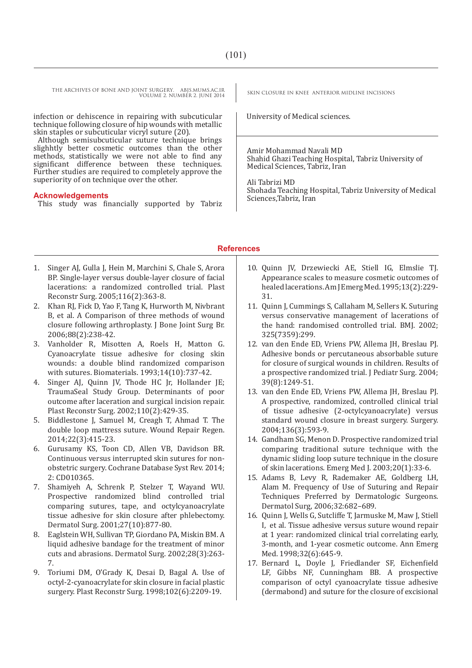THE ARCHIVES OF BONE AND JOINT SURGERY. ABJS.MUMS.AC.IR SKIN CLOSURE IN KNEE ANTERIOR MIDLINE INCISIONS VOLUME 2. NUMBER 2. JUNE 2014

infection or dehiscence in repairing with subcuticular technique following closure of hip wounds with metallic skin staples or subcuticular vicryl suture (20).

Although semisubcuticular suture technique brings slighhtly better cosmetic outcomes than the other methods, statistically we were not able to find any significant difference between these techniques. Further studies are required to completely approve the superiority of on technique over the other.

#### **Acknowledgements**

This study was financially supported by Tabriz

University of Medical sciences.

Amir Mohammad Navali MD Shahid Ghazi Teaching Hospital, Tabriz University of Medical Sciences, Tabriz, Iran

Ali Tabrizi MD Shohada Teaching Hospital, Tabriz University of Medical Sciences,Tabriz, Iran

## **References**

- 1. Singer AJ, Gulla J, Hein M, Marchini S, Chale S, Arora BP. Single-layer versus double-layer closure of facial lacerations: a randomized controlled trial. Plast Reconstr Surg. 2005;116(2):363-8.
- 2. Khan RJ, Fick D, Yao F, Tang K, Hurworth M, Nivbrant B, et al. A Comparison of three methods of wound closure following arthroplasty. J Bone Joint Surg Br. 2006;88(2):238-42.
- 3. Vanholder R, Misotten A, Roels H, Matton G. Cyanoacrylate tissue adhesive for closing skin wounds: a double blind randomized comparison with sutures. Biomaterials. 1993;14(10):737-42.
- 4. Singer AJ, Quinn JV, Thode HC Jr, Hollander JE; TraumaSeal Study Group. Determinants of poor outcome after laceration and surgical incision repair. Plast Reconstr Surg. 2002;110(2):429-35.
- 5. Biddlestone J, Samuel M, Creagh T, Ahmad T. The double loop mattress suture. Wound Repair Regen. 2014;22(3):415-23.
- 6. Gurusamy KS, Toon CD, Allen VB, Davidson BR. Continuous versus interrupted skin sutures for nonobstetric surgery. Cochrane Database Syst Rev. 2014; 2: CD010365.
- 7. Shamiyeh A, Schrenk P, Stelzer T, Wayand WU. Prospective randomized blind controlled trial comparing sutures, tape, and octylcyanoacrylate tissue adhesive for skin closure after phlebectomy. Dermatol Surg. 2001;27(10):877-80.
- 8. Eaglstein WH, Sullivan TP, Giordano PA, Miskin BM. A liquid adhesive bandage for the treatment of minor cuts and abrasions. Dermatol Surg. 2002;28(3):263- 7.
- 9. Toriumi DM, O'Grady K, Desai D, Bagal A. Use of octyl-2-cyanoacrylate for skin closure in facial plastic surgery. Plast Reconstr Surg. 1998;102(6):2209-19.
- 10. Quinn JV, Drzewiecki AE, Stiell IG, Elmslie TJ. Appearance scales to measure cosmetic outcomes of healed lacerations. Am J Emerg Med. 1995;13(2):229- 31.
- 11. Quinn J, Cummings S, Callaham M, Sellers K. Suturing versus conservative management of lacerations of the hand: randomised controlled trial. BMJ. 2002; 325(7359):299.
- 12. van den Ende ED, Vriens PW, Allema JH, Breslau PJ. Adhesive bonds or percutaneous absorbable suture for closure of surgical wounds in children. Results of a prospective randomized trial. J Pediatr Surg. 2004; 39(8):1249-51.
- 13. van den Ende ED, Vriens PW, Allema JH, Breslau PJ. A prospective, randomized, controlled clinical trial of tissue adhesive (2-octylcyanoacrylate) versus standard wound closure in breast surgery. Surgery. 2004;136(3):593-9.
- 14. Gandham SG, Menon D. Prospective randomized trial comparing traditional suture technique with the dynamic sliding loop suture technique in the closure of skin lacerations. Emerg Med J. 2003;20(1):33-6.
- 15. Adams B, Levy R, Rademaker AE, Goldberg LH, Alam M. Frequency of Use of Suturing and Repair Techniques Preferred by Dermatologic Surgeons. Dermatol Surg, 2006;32:682–689.
- 16. Quinn J, Wells G, Sutcliffe T, Jarmuske M, Maw J, Stiell I, et al. Tissue adhesive versus suture wound repair at 1 year: randomized clinical trial correlating early, 3-month, and 1-year cosmetic outcome. Ann Emerg Med. 1998;32(6):645-9.
- 17. Bernard L, Doyle J, Friedlander SF, Eichenfield LF, Gibbs NF, Cunningham BB. A prospective comparison of octyl cyanoacrylate tissue adhesive (dermabond) and suture for the closure of excisional